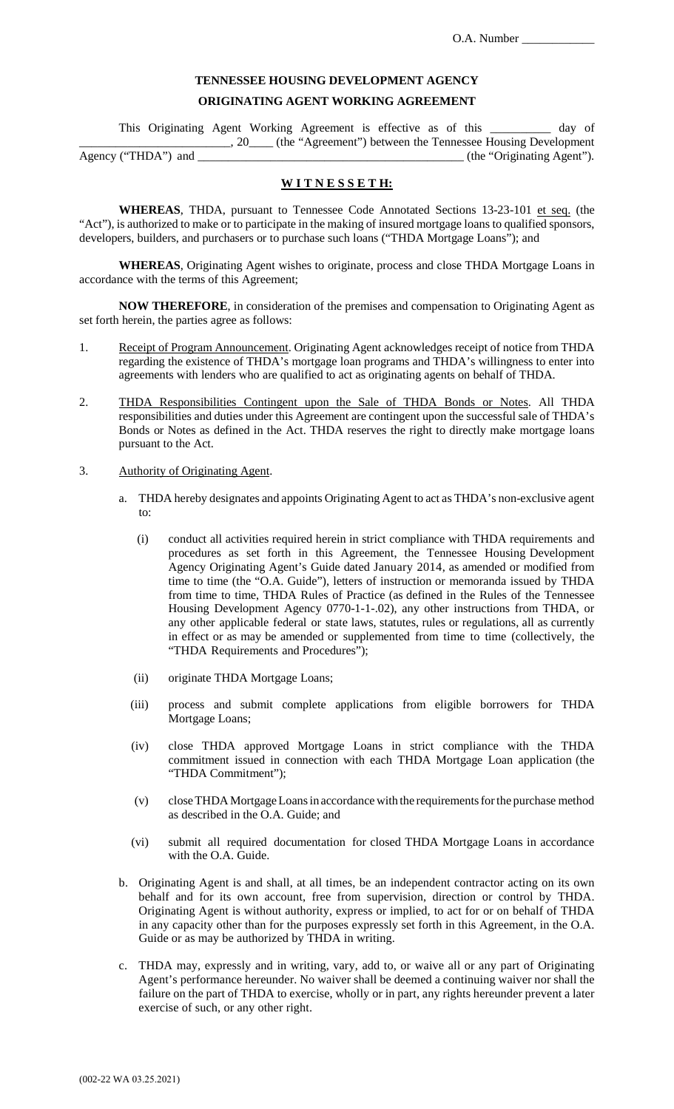# **TENNESSEE HOUSING DEVELOPMENT AGENCY ORIGINATING AGENT WORKING AGREEMENT**

This Originating Agent Working Agreement is effective as of this \_\_\_\_\_\_\_\_\_\_ day of \_\_\_\_\_\_\_\_\_\_\_\_\_\_\_\_\_\_\_\_\_\_\_\_\_, 20\_\_\_\_ (the "Agreement") between the Tennessee Housing Development Agency ("THDA") and \_\_\_\_\_\_\_\_\_\_\_\_\_\_\_\_\_\_\_\_\_\_\_\_\_\_\_\_\_\_\_\_\_\_\_\_\_\_\_\_\_\_\_\_ (the "Originating Agent").

### **W I T N E S S E T H:**

WHEREAS, THDA, pursuant to Tennessee Code Annotated Sections 13-23-101 et seq. (the "Act"), is authorized to make or to participate in the making of insured mortgage loans to qualified sponsors, developers, builders, and purchasers or to purchase such loans ("THDA Mortgage Loans"); and

**WHEREAS**, Originating Agent wishes to originate, process and close THDA Mortgage Loans in accordance with the terms of this Agreement;

**NOW THEREFORE**, in consideration of the premises and compensation to Originating Agent as set forth herein, the parties agree as follows:

- 1. Receipt of Program Announcement. Originating Agent acknowledges receipt of notice from THDA regarding the existence of THDA's mortgage loan programs and THDA's willingness to enter into agreements with lenders who are qualified to act as originating agents on behalf of THDA.
- 2. THDA Responsibilities Contingent upon the Sale of THDA Bonds or Notes. All THDA responsibilities and duties under this Agreement are contingent upon the successful sale of THDA's Bonds or Notes as defined in the Act. THDA reserves the right to directly make mortgage loans pursuant to the Act.
- 3. Authority of Originating Agent.
	- a. THDA hereby designates and appoints Originating Agent to act as THDA's non-exclusive agent to:
		- (i) conduct all activities required herein in strict compliance with THDA requirements and procedures as set forth in this Agreement, the Tennessee Housing Development Agency Originating Agent's Guide dated January 2014, as amended or modified from time to time (the "O.A. Guide"), letters of instruction or memoranda issued by THDA from time to time, THDA Rules of Practice (as defined in the Rules of the Tennessee Housing Development Agency 0770-1-1-.02), any other instructions from THDA, or any other applicable federal or state laws, statutes, rules or regulations, all as currently in effect or as may be amended or supplemented from time to time (collectively, the "THDA Requirements and Procedures");
		- (ii) originate THDA Mortgage Loans;
		- (iii) process and submit complete applications from eligible borrowers for THDA Mortgage Loans;
		- (iv) close THDA approved Mortgage Loans in strict compliance with the THDA commitment issued in connection with each THDA Mortgage Loan application (the "THDA Commitment");
		- (v) close THDA Mortgage Loans in accordance with the requirements for the purchase method as described in the O.A. Guide; and
		- (vi) submit all required documentation for closed THDA Mortgage Loans in accordance with the O.A. Guide.
	- b. Originating Agent is and shall, at all times, be an independent contractor acting on its own behalf and for its own account, free from supervision, direction or control by THDA. Originating Agent is without authority, express or implied, to act for or on behalf of THDA in any capacity other than for the purposes expressly set forth in this Agreement, in the O.A. Guide or as may be authorized by THDA in writing.
	- c. THDA may, expressly and in writing, vary, add to, or waive all or any part of Originating Agent's performance hereunder. No waiver shall be deemed a continuing waiver nor shall the failure on the part of THDA to exercise, wholly or in part, any rights hereunder prevent a later exercise of such, or any other right.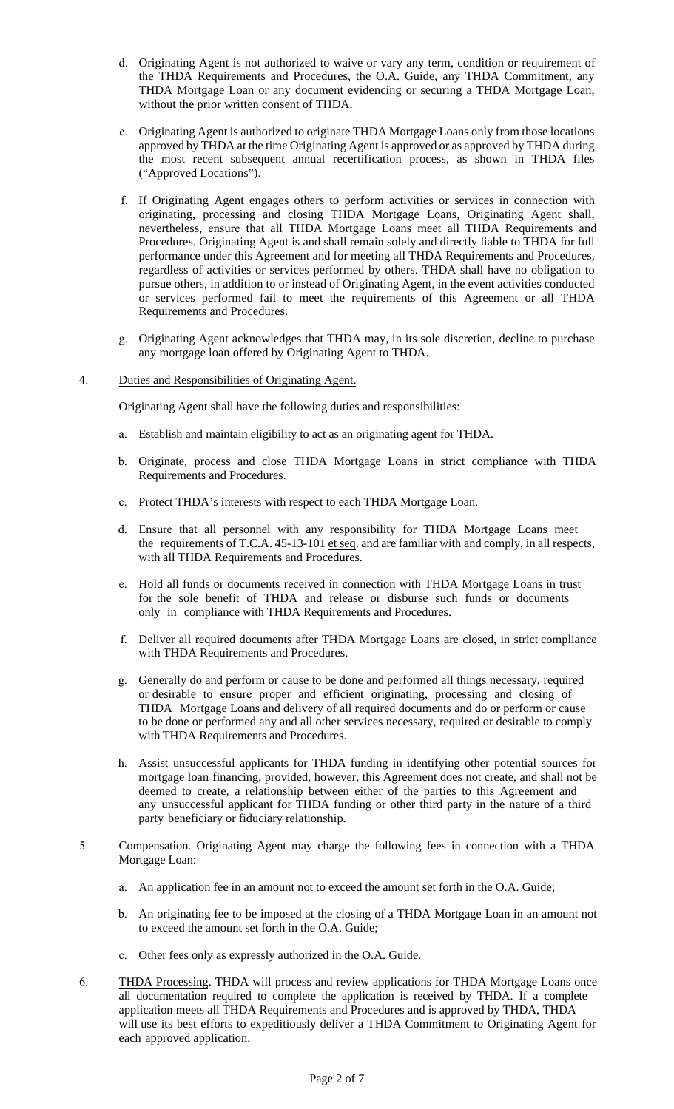- d. Originating Agent is not authorized to waive or vary any term, condition or requirement of the THDA Requirements and Procedures, the O.A. Guide, any THDA Commitment, any THDA Mortgage Loan or any document evidencing or securing a THDA Mortgage Loan, without the prior written consent of THDA.
- e. Originating Agent is authorized to originate THDA Mortgage Loans only from those locations approved by THDA at the time Originating Agent is approved or as approved by THDA during the most recent subsequent annual recertification process, as shown in THDA files ("Approved Locations").
- f. If Originating Agent engages others to perform activities or services in connection with originating, processing and closing THDA Mortgage Loans, Originating Agent shall, nevertheless, ensure that all THDA Mortgage Loans meet all THDA Requirements and Procedures. Originating Agent is and shall remain solely and directly liable to THDA for full performance under this Agreement and for meeting all THDA Requirements and Procedures, regardless of activities or services performed by others. THDA shall have no obligation to pursue others, in addition to or instead of Originating Agent, in the event activities conducted or services performed fail to meet the requirements of this Agreement or all THDA Requirements and Procedures.
- g. Originating Agent acknowledges that THDA may, in its sole discretion, decline to purchase any mortgage loan offered by Originating Agent to THDA.

#### 4. Duties and Responsibilities of Originating Agent.

Originating Agent shall have the following duties and responsibilities:

- a. Establish and maintain eligibility to act as an originating agent for THDA.
- b. Originate, process and close THDA Mortgage Loans in strict compliance with THDA Requirements and Procedures.
- c. Protect THDA's interests with respect to each THDA Mortgage Loan.
- d. Ensure that all personnel with any responsibility for THDA Mortgage Loans meet the requirements of T.C.A. 45-13-101 et seq. and are familiar with and comply, in all respects, with all THDA Requirements and Procedures.
- e. Hold all funds or documents received in connection with THDA Mortgage Loans in trust for the sole benefit of THDA and release or disburse such funds or documents only in compliance with THDA Requirements and Procedures.
- f. Deliver all required documents after THDA Mortgage Loans are closed, in strict compliance with THDA Requirements and Procedures.
- g. Generally do and perform or cause to be done and performed all things necessary, required or desirable to ensure proper and efficient originating, processing and closing of THDA Mortgage Loans and delivery of all required documents and do or perform or cause to be done or performed any and all other services necessary, required or desirable to comply with THDA Requirements and Procedures.
- h. Assist unsuccessful applicants for THDA funding in identifying other potential sources for mortgage loan financing, provided, however, this Agreement does not create, and shall not be deemed to create, a relationship between either of the parties to this Agreement and any unsuccessful applicant for THDA funding or other third party in the nature of a third party beneficiary or fiduciary relationship.
- 5. Compensation. Originating Agent may charge the following fees in connection with a THDA Mortgage Loan:
	- a. An application fee in an amount not to exceed the amount set forth in the O.A. Guide;
	- b. An originating fee to be imposed at the closing of a THDA Mortgage Loan in an amount not to exceed the amount set forth in the O.A. Guide;
	- c. Other fees only as expressly authorized in the O.A. Guide.
- 6. THDA Processing. THDA will process and review applications for THDA Mortgage Loans once all documentation required to complete the application is received by THDA. If a complete application meets all THDA Requirements and Procedures and is approved by THDA, THDA will use its best efforts to expeditiously deliver a THDA Commitment to Originating Agent for each approved application.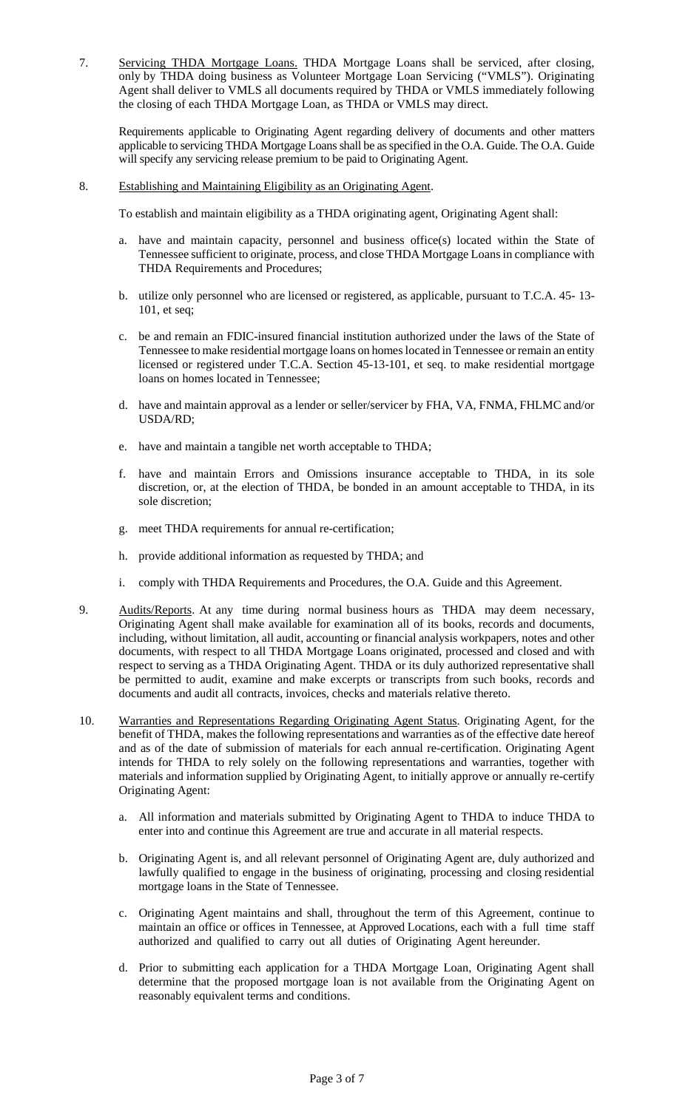7. Servicing THDA Mortgage Loans. THDA Mortgage Loans shall be serviced, after closing, only by THDA doing business as Volunteer Mortgage Loan Servicing ("VMLS"). Originating Agent shall deliver to VMLS all documents required by THDA or VMLS immediately following the closing of each THDA Mortgage Loan, as THDA or VMLS may direct.

Requirements applicable to Originating Agent regarding delivery of documents and other matters applicable to servicing THDA Mortgage Loans shall be as specified in the O.A. Guide. The O.A. Guide will specify any servicing release premium to be paid to Originating Agent.

8. Establishing and Maintaining Eligibility as an Originating Agent.

To establish and maintain eligibility as a THDA originating agent, Originating Agent shall:

- a. have and maintain capacity, personnel and business office(s) located within the State of Tennessee sufficient to originate, process, and close THDA Mortgage Loans in compliance with THDA Requirements and Procedures;
- b. utilize only personnel who are licensed or registered, as applicable, pursuant to T.C.A. 45- 13- 101, et seq;
- c. be and remain an FDIC-insured financial institution authorized under the laws of the State of Tennessee to make residential mortgage loans on homes located in Tennessee or remain an entity licensed or registered under T.C.A. Section 45-13-101, et seq. to make residential mortgage loans on homes located in Tennessee;
- d. have and maintain approval as a lender or seller/servicer by FHA, VA, FNMA, FHLMC and/or USDA/RD;
- e. have and maintain a tangible net worth acceptable to THDA;
- f. have and maintain Errors and Omissions insurance acceptable to THDA, in its sole discretion, or, at the election of THDA, be bonded in an amount acceptable to THDA, in its sole discretion;
- g. meet THDA requirements for annual re-certification;
- h. provide additional information as requested by THDA; and
- i. comply with THDA Requirements and Procedures, the O.A. Guide and this Agreement.
- 9. Audits/Reports. At any time during normal business hours as THDA may deem necessary, Originating Agent shall make available for examination all of its books, records and documents, including, without limitation, all audit, accounting or financial analysis workpapers, notes and other documents, with respect to all THDA Mortgage Loans originated, processed and closed and with respect to serving as a THDA Originating Agent. THDA or its duly authorized representative shall be permitted to audit, examine and make excerpts or transcripts from such books, records and documents and audit all contracts, invoices, checks and materials relative thereto.
- 10. Warranties and Representations Regarding Originating Agent Status. Originating Agent, for the benefit of THDA, makes the following representations and warranties as of the effective date hereof and as of the date of submission of materials for each annual re-certification. Originating Agent intends for THDA to rely solely on the following representations and warranties, together with materials and information supplied by Originating Agent, to initially approve or annually re-certify Originating Agent:
	- a. All information and materials submitted by Originating Agent to THDA to induce THDA to enter into and continue this Agreement are true and accurate in all material respects.
	- b. Originating Agent is, and all relevant personnel of Originating Agent are, duly authorized and lawfully qualified to engage in the business of originating, processing and closing residential mortgage loans in the State of Tennessee.
	- c. Originating Agent maintains and shall, throughout the term of this Agreement, continue to maintain an office or offices in Tennessee, at Approved Locations, each with a full time staff authorized and qualified to carry out all duties of Originating Agent hereunder.
	- d. Prior to submitting each application for a THDA Mortgage Loan, Originating Agent shall determine that the proposed mortgage loan is not available from the Originating Agent on reasonably equivalent terms and conditions.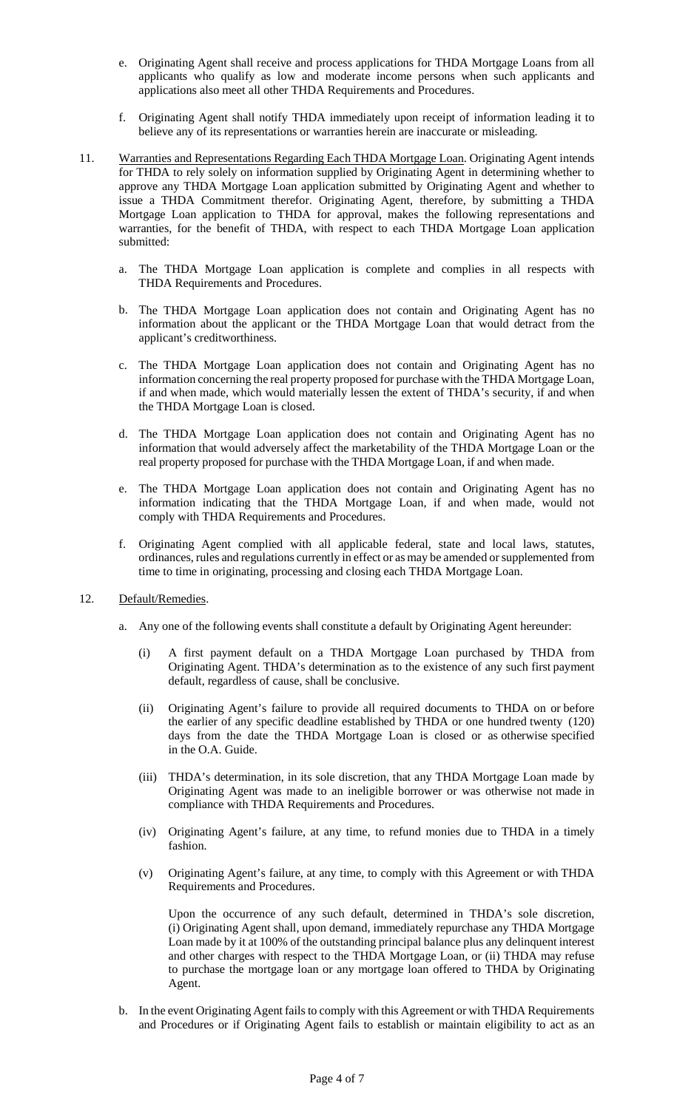- e. Originating Agent shall receive and process applications for THDA Mortgage Loans from all applicants who qualify as low and moderate income persons when such applicants and applications also meet all other THDA Requirements and Procedures.
- f. Originating Agent shall notify THDA immediately upon receipt of information leading it to believe any of its representations or warranties herein are inaccurate or misleading.
- 11. Warranties and Representations Regarding Each THDA Mortgage Loan. Originating Agent intends for THDA to rely solely on information supplied by Originating Agent in determining whether to approve any THDA Mortgage Loan application submitted by Originating Agent and whether to issue a THDA Commitment therefor. Originating Agent, therefore, by submitting a THDA Mortgage Loan application to THDA for approval, makes the following representations and warranties, for the benefit of THDA, with respect to each THDA Mortgage Loan application submitted:
	- a. The THDA Mortgage Loan application is complete and complies in all respects with THDA Requirements and Procedures.
	- b. The THDA Mortgage Loan application does not contain and Originating Agent has no information about the applicant or the THDA Mortgage Loan that would detract from the applicant's creditworthiness.
	- c. The THDA Mortgage Loan application does not contain and Originating Agent has no information concerning the real property proposed for purchase with the THDA Mortgage Loan, if and when made, which would materially lessen the extent of THDA's security, if and when the THDA Mortgage Loan is closed.
	- d. The THDA Mortgage Loan application does not contain and Originating Agent has no information that would adversely affect the marketability of the THDA Mortgage Loan or the real property proposed for purchase with the THDA Mortgage Loan, if and when made.
	- e. The THDA Mortgage Loan application does not contain and Originating Agent has no information indicating that the THDA Mortgage Loan, if and when made, would not comply with THDA Requirements and Procedures.
	- f. Originating Agent complied with all applicable federal, state and local laws, statutes, ordinances, rules and regulations currently in effect or as may be amended or supplemented from time to time in originating, processing and closing each THDA Mortgage Loan.

#### 12. Default/Remedies.

- a. Any one of the following events shall constitute a default by Originating Agent hereunder:
	- (i) A first payment default on a THDA Mortgage Loan purchased by THDA from Originating Agent. THDA's determination as to the existence of any such first payment default, regardless of cause, shall be conclusive.
	- (ii) Originating Agent's failure to provide all required documents to THDA on or before the earlier of any specific deadline established by THDA or one hundred twenty (120) days from the date the THDA Mortgage Loan is closed or as otherwise specified in the O.A. Guide.
	- (iii) THDA's determination, in its sole discretion, that any THDA Mortgage Loan made by Originating Agent was made to an ineligible borrower or was otherwise not made in compliance with THDA Requirements and Procedures.
	- (iv) Originating Agent's failure, at any time, to refund monies due to THDA in a timely fashion.
	- (v) Originating Agent's failure, at any time, to comply with this Agreement or with THDA Requirements and Procedures.

Upon the occurrence of any such default, determined in THDA's sole discretion, (i) Originating Agent shall, upon demand, immediately repurchase any THDA Mortgage Loan made by it at 100% of the outstanding principal balance plus any delinquent interest and other charges with respect to the THDA Mortgage Loan, or (ii) THDA may refuse to purchase the mortgage loan or any mortgage loan offered to THDA by Originating Agent.

b. In the event Originating Agent fails to comply with this Agreement or with THDA Requirements and Procedures or if Originating Agent fails to establish or maintain eligibility to act as an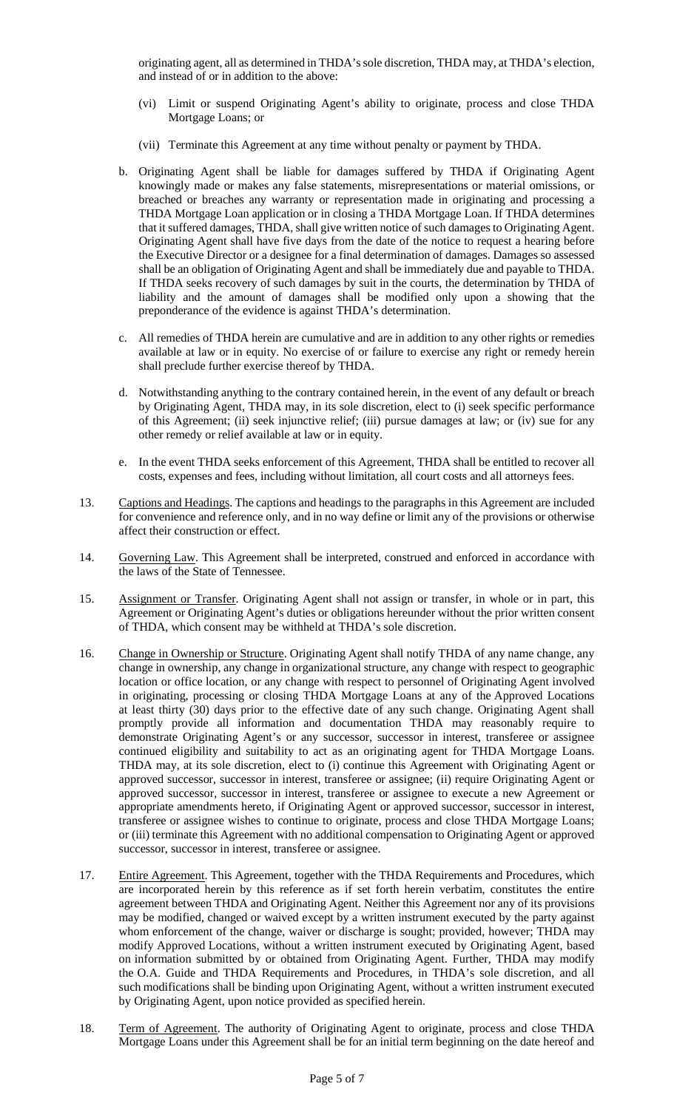originating agent, all as determined in THDA's sole discretion, THDA may, at THDA's election, and instead of or in addition to the above:

- (vi) Limit or suspend Originating Agent's ability to originate, process and close THDA Mortgage Loans; or
- (vii) Terminate this Agreement at any time without penalty or payment by THDA.
- b. Originating Agent shall be liable for damages suffered by THDA if Originating Agent knowingly made or makes any false statements, misrepresentations or material omissions, or breached or breaches any warranty or representation made in originating and processing a THDA Mortgage Loan application or in closing a THDA Mortgage Loan. If THDA determines that it suffered damages, THDA, shall give written notice of such damages to Originating Agent. Originating Agent shall have five days from the date of the notice to request a hearing before the Executive Director or a designee for a final determination of damages. Damages so assessed shall be an obligation of Originating Agent and shall be immediately due and payable to THDA. If THDA seeks recovery of such damages by suit in the courts, the determination by THDA of liability and the amount of damages shall be modified only upon a showing that the preponderance of the evidence is against THDA's determination.
- c. All remedies of THDA herein are cumulative and are in addition to any other rights or remedies available at law or in equity. No exercise of or failure to exercise any right or remedy herein shall preclude further exercise thereof by THDA.
- d. Notwithstanding anything to the contrary contained herein, in the event of any default or breach by Originating Agent, THDA may, in its sole discretion, elect to (i) seek specific performance of this Agreement; (ii) seek injunctive relief; (iii) pursue damages at law; or (iv) sue for any other remedy or relief available at law or in equity.
- e. In the event THDA seeks enforcement of this Agreement, THDA shall be entitled to recover all costs, expenses and fees, including without limitation, all court costs and all attorneys fees.
- 13. Captions and Headings. The captions and headings to the paragraphs in this Agreement are included for convenience and reference only, and in no way define or limit any of the provisions or otherwise affect their construction or effect.
- 14. Governing Law. This Agreement shall be interpreted, construed and enforced in accordance with the laws of the State of Tennessee.
- 15. Assignment or Transfer. Originating Agent shall not assign or transfer, in whole or in part, this Agreement or Originating Agent's duties or obligations hereunder without the prior written consent of THDA, which consent may be withheld at THDA's sole discretion.
- 16. Change in Ownership or Structure. Originating Agent shall notify THDA of any name change, any change in ownership, any change in organizational structure, any change with respect to geographic location or office location, or any change with respect to personnel of Originating Agent involved in originating, processing or closing THDA Mortgage Loans at any of the Approved Locations at least thirty (30) days prior to the effective date of any such change. Originating Agent shall promptly provide all information and documentation THDA may reasonably require to demonstrate Originating Agent's or any successor, successor in interest, transferee or assignee continued eligibility and suitability to act as an originating agent for THDA Mortgage Loans. THDA may, at its sole discretion, elect to (i) continue this Agreement with Originating Agent or approved successor, successor in interest, transferee or assignee; (ii) require Originating Agent or approved successor, successor in interest, transferee or assignee to execute a new Agreement or appropriate amendments hereto, if Originating Agent or approved successor, successor in interest, transferee or assignee wishes to continue to originate, process and close THDA Mortgage Loans; or (iii) terminate this Agreement with no additional compensation to Originating Agent or approved successor, successor in interest, transferee or assignee.
- 17. Entire Agreement. This Agreement, together with the THDA Requirements and Procedures, which are incorporated herein by this reference as if set forth herein verbatim, constitutes the entire agreement between THDA and Originating Agent. Neither this Agreement nor any of its provisions may be modified, changed or waived except by a written instrument executed by the party against whom enforcement of the change, waiver or discharge is sought; provided, however; THDA may modify Approved Locations, without a written instrument executed by Originating Agent, based on information submitted by or obtained from Originating Agent. Further, THDA may modify the O.A. Guide and THDA Requirements and Procedures, in THDA's sole discretion, and all such modifications shall be binding upon Originating Agent, without a written instrument executed by Originating Agent, upon notice provided as specified herein.
- 18. Term of Agreement. The authority of Originating Agent to originate, process and close THDA Mortgage Loans under this Agreement shall be for an initial term beginning on the date hereof and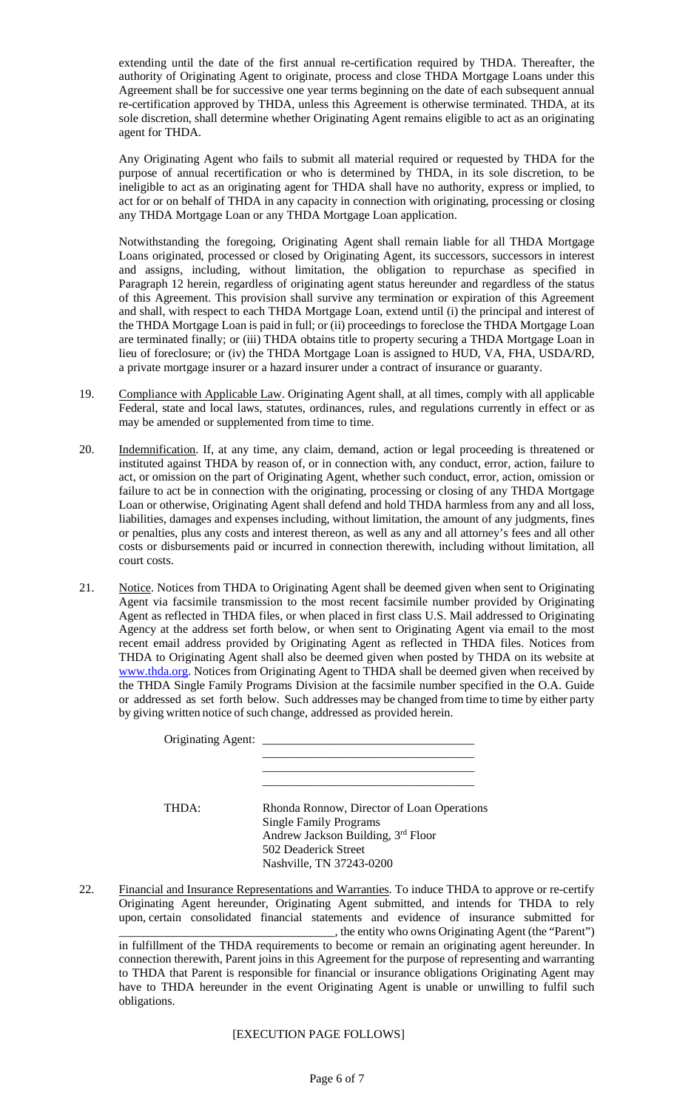extending until the date of the first annual re-certification required by THDA. Thereafter, the authority of Originating Agent to originate, process and close THDA Mortgage Loans under this Agreement shall be for successive one year terms beginning on the date of each subsequent annual re-certification approved by THDA, unless this Agreement is otherwise terminated. THDA, at its sole discretion, shall determine whether Originating Agent remains eligible to act as an originating agent for THDA.

Any Originating Agent who fails to submit all material required or requested by THDA for the purpose of annual recertification or who is determined by THDA, in its sole discretion, to be ineligible to act as an originating agent for THDA shall have no authority, express or implied, to act for or on behalf of THDA in any capacity in connection with originating, processing or closing any THDA Mortgage Loan or any THDA Mortgage Loan application.

Notwithstanding the foregoing, Originating Agent shall remain liable for all THDA Mortgage Loans originated, processed or closed by Originating Agent, its successors, successors in interest and assigns, including, without limitation, the obligation to repurchase as specified in Paragraph 12 herein, regardless of originating agent status hereunder and regardless of the status of this Agreement. This provision shall survive any termination or expiration of this Agreement and shall, with respect to each THDA Mortgage Loan, extend until (i) the principal and interest of the THDA Mortgage Loan is paid in full; or (ii) proceedings to foreclose the THDA Mortgage Loan are terminated finally; or (iii) THDA obtains title to property securing a THDA Mortgage Loan in lieu of foreclosure; or (iv) the THDA Mortgage Loan is assigned to HUD, VA, FHA, USDA/RD, a private mortgage insurer or a hazard insurer under a contract of insurance or guaranty.

- 19. Compliance with Applicable Law. Originating Agent shall, at all times, comply with all applicable Federal, state and local laws, statutes, ordinances, rules, and regulations currently in effect or as may be amended or supplemented from time to time.
- 20. Indemnification. If, at any time, any claim, demand, action or legal proceeding is threatened or instituted against THDA by reason of, or in connection with, any conduct, error, action, failure to act, or omission on the part of Originating Agent, whether such conduct, error, action, omission or failure to act be in connection with the originating, processing or closing of any THDA Mortgage Loan or otherwise, Originating Agent shall defend and hold THDA harmless from any and all loss, liabilities, damages and expenses including, without limitation, the amount of any judgments, fines or penalties, plus any costs and interest thereon, as well as any and all attorney's fees and all other costs or disbursements paid or incurred in connection therewith, including without limitation, all court costs.
- 21. Notice. Notices from THDA to Originating Agent shall be deemed given when sent to Originating Agent via facsimile transmission to the most recent facsimile number provided by Originating Agent as reflected in THDA files, or when placed in first class U.S. Mail addressed to Originating Agency at the address set forth below, or when sent to Originating Agent via email to the most recent email address provided by Originating Agent as reflected in THDA files. Notices from THDA to Originating Agent shall also be deemed given when posted by THDA on its website at www.thda.org. Notices from Originating Agent to THDA shall be deemed given when received by the THDA Single Family Programs Division at the facsimile number specified in the O.A. Guide or addressed as set forth below. Such addresses may be changed from time to time by either party by giving written notice of such change, addressed as provided herein.

| Originating Agent: _ |                                                                                                                                                                       |
|----------------------|-----------------------------------------------------------------------------------------------------------------------------------------------------------------------|
| <b>THDA·</b>         | Rhonda Ronnow, Director of Loan Operations<br><b>Single Family Programs</b><br>Andrew Jackson Building, 3rd Floor<br>502 Deaderick Street<br>Nashville, TN 37243-0200 |

22. Financial and Insurance Representations and Warranties. To induce THDA to approve or re-certify Originating Agent hereunder, Originating Agent submitted, and intends for THDA to rely upon, certain consolidated financial statements and evidence of insurance submitted for \_\_\_\_\_\_\_\_\_\_\_\_\_\_\_\_\_\_\_\_\_\_\_\_\_\_\_\_\_\_\_\_\_\_\_\_, the entity who owns Originating Agent (the "Parent") in fulfillment of the THDA requirements to become or remain an originating agent hereunder. In connection therewith, Parent joins in this Agreement for the purpose of representing and warranting to THDA that Parent is responsible for financial or insurance obligations Originating Agent may have to THDA hereunder in the event Originating Agent is unable or unwilling to fulfil such obligations.

[EXECUTION PAGE FOLLOWS]